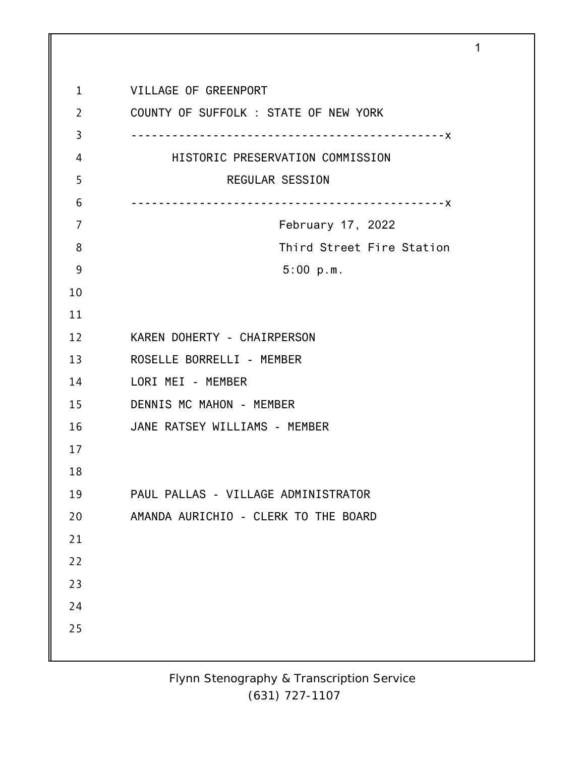| $\mathbf 1$    | VILLAGE OF GREENPORT                  |
|----------------|---------------------------------------|
| $\overline{2}$ | COUNTY OF SUFFOLK : STATE OF NEW YORK |
| 3              |                                       |
| 4              | HISTORIC PRESERVATION COMMISSION      |
| 5              | <b>REGULAR SESSION</b>                |
| 6              |                                       |
| 7              | February 17, 2022                     |
| 8              | Third Street Fire Station             |
| 9              | 5:00 p.m.                             |
| 10             |                                       |
| 11             |                                       |
| 12             | KAREN DOHERTY - CHAIRPERSON           |
| 13             | ROSELLE BORRELLI - MEMBER             |
| 14             | LORI MEI - MEMBER                     |
| 15             | DENNIS MC MAHON - MEMBER              |
| 16             | JANE RATSEY WILLIAMS - MEMBER         |
| 17             |                                       |
| 18             |                                       |
| 19             | PAUL PALLAS - VILLAGE ADMINISTRATOR   |
| 20             | AMANDA AURICHIO - CLERK TO THE BOARD  |
| 21             |                                       |
| 22             |                                       |
| 23             |                                       |
| 24             |                                       |
| 25             |                                       |
|                |                                       |

1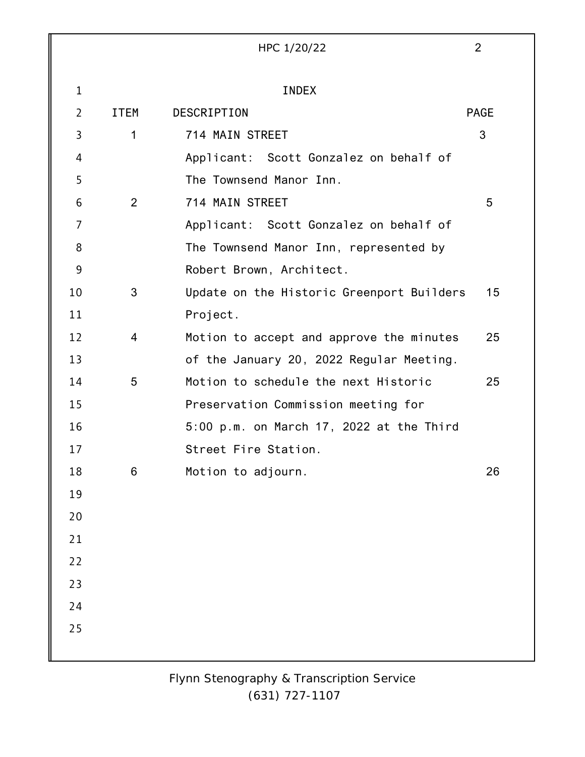|                |                | HPC 1/20/22                               | 2           |
|----------------|----------------|-------------------------------------------|-------------|
| $\mathbf{1}$   |                | <b>INDEX</b>                              |             |
| $\overline{2}$ | <b>ITEM</b>    | DESCRIPTION                               | <b>PAGE</b> |
| 3              | $\mathbf 1$    | 714 MAIN STREET                           | 3           |
| 4              |                | Applicant: Scott Gonzalez on behalf of    |             |
| 5              |                | The Townsend Manor Inn.                   |             |
| 6              | $\overline{2}$ | 714 MAIN STREET                           | 5           |
| 7              |                | Applicant: Scott Gonzalez on behalf of    |             |
| 8              |                | The Townsend Manor Inn, represented by    |             |
| 9              |                | Robert Brown, Architect.                  |             |
| 10             | 3              | Update on the Historic Greenport Builders | 15          |
| 11             |                | Project.                                  |             |
| 12             | 4              | Motion to accept and approve the minutes  | 25          |
| 13             |                | of the January 20, 2022 Regular Meeting.  |             |
| 14             | 5              | Motion to schedule the next Historic      | 25          |
| 15             |                | Preservation Commission meeting for       |             |
| 16             |                | 5:00 p.m. on March 17, 2022 at the Third  |             |
| 17             |                | Street Fire Station.                      |             |
| 18             | 6              | Motion to adjourn.                        | 26          |
| 19             |                |                                           |             |
| 20             |                |                                           |             |
| 21             |                |                                           |             |
| 22             |                |                                           |             |
| 23             |                |                                           |             |
| 24             |                |                                           |             |
| 25             |                |                                           |             |
|                |                |                                           |             |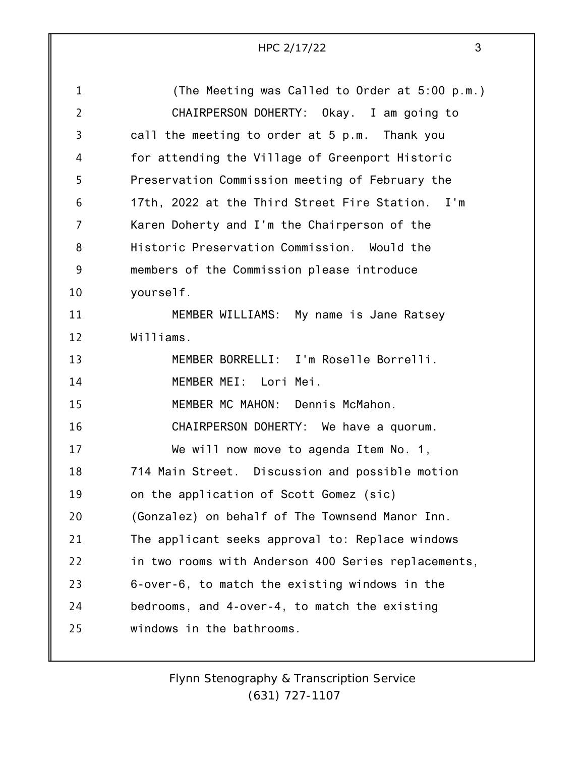| $\mathbf 1$    | (The Meeting was Called to Order at 5:00 p.m.)      |
|----------------|-----------------------------------------------------|
| $\overline{2}$ | CHAIRPERSON DOHERTY: Okay. I am going to            |
| 3              | call the meeting to order at 5 p.m. Thank you       |
| 4              | for attending the Village of Greenport Historic     |
| 5              | Preservation Commission meeting of February the     |
| 6              | 17th, 2022 at the Third Street Fire Station. I'm    |
| 7              | Karen Doherty and I'm the Chairperson of the        |
| 8              | Historic Preservation Commission. Would the         |
| 9              | members of the Commission please introduce          |
| 10             | yourself.                                           |
| 11             | MEMBER WILLIAMS: My name is Jane Ratsey             |
| 12             | Williams.                                           |
| 13             | MEMBER BORRELLI: I'm Roselle Borrelli.              |
| 14             | MEMBER MEI: Lori Mei.                               |
| 15             | MEMBER MC MAHON: Dennis McMahon.                    |
| 16             | CHAIRPERSON DOHERTY: We have a quorum.              |
| 17             | We will now move to agenda Item No. 1,              |
| 18             | 714 Main Street. Discussion and possible motion     |
| 19             | on the application of Scott Gomez (sic)             |
| 20             | (Gonzalez) on behalf of The Townsend Manor Inn.     |
| 21             | The applicant seeks approval to: Replace windows    |
| 22             | in two rooms with Anderson 400 Series replacements, |
| 23             | 6-over-6, to match the existing windows in the      |
| 24             | bedrooms, and 4-over-4, to match the existing       |
| 25             | windows in the bathrooms.                           |
|                |                                                     |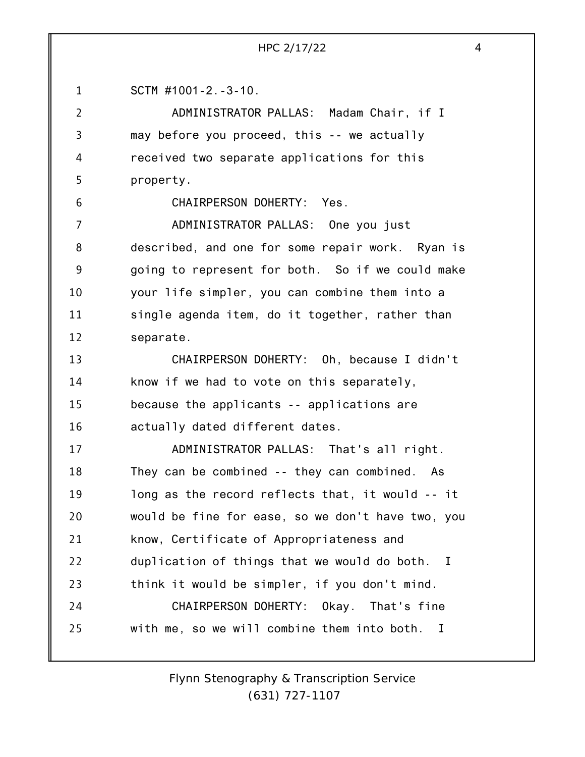| SCTM $\#1001 - 2 - 3 - 10$ . |
|------------------------------|
|                              |

ADMINISTRATOR PALLAS: Madam Chair, if I may before you proceed, this -- we actually received two separate applications for this property.

6

2

3

4

5

CHAIRPERSON DOHERTY: Yes.

7 8 9 10 11 12 ADMINISTRATOR PALLAS: One you just described, and one for some repair work. Ryan is going to represent for both. So if we could make your life simpler, you can combine them into a single agenda item, do it together, rather than separate.

13 14 15 16 CHAIRPERSON DOHERTY: Oh, because I didn't know if we had to vote on this separately, because the applicants -- applications are actually dated different dates.

17 18 19 20 21 22 23 24 25 ADMINISTRATOR PALLAS: That's all right. They can be combined -- they can combined. As long as the record reflects that, it would -- it would be fine for ease, so we don't have two, you know, Certificate of Appropriateness and duplication of things that we would do both. I think it would be simpler, if you don't mind. CHAIRPERSON DOHERTY: Okay. That's fine with me, so we will combine them into both. I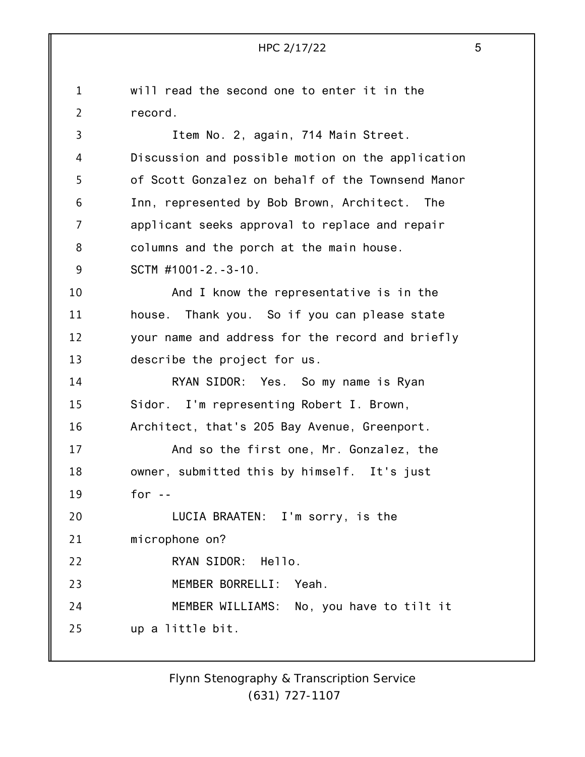1 2 3 4 5 6 7 8 9 10 11 12 13 14 15 16 17 18 19 20 21 22 23 24 25 HPC 2/17/22 5 will read the second one to enter it in the record. Item No. 2, again, 714 Main Street. Discussion and possible motion on the application of Scott Gonzalez on behalf of the Townsend Manor Inn, represented by Bob Brown, Architect. The applicant seeks approval to replace and repair columns and the porch at the main house. SCTM #1001-2.-3-10. And I know the representative is in the house. Thank you. So if you can please state your name and address for the record and briefly describe the project for us. RYAN SIDOR: Yes. So my name is Ryan Sidor. I'm representing Robert I. Brown, Architect, that's 205 Bay Avenue, Greenport. And so the first one, Mr. Gonzalez, the owner, submitted this by himself. It's just for -- LUCIA BRAATEN: I'm sorry, is the microphone on? RYAN SIDOR: Hello. MEMBER BORRELLI: Yeah. MEMBER WILLIAMS: No, you have to tilt it up a little bit.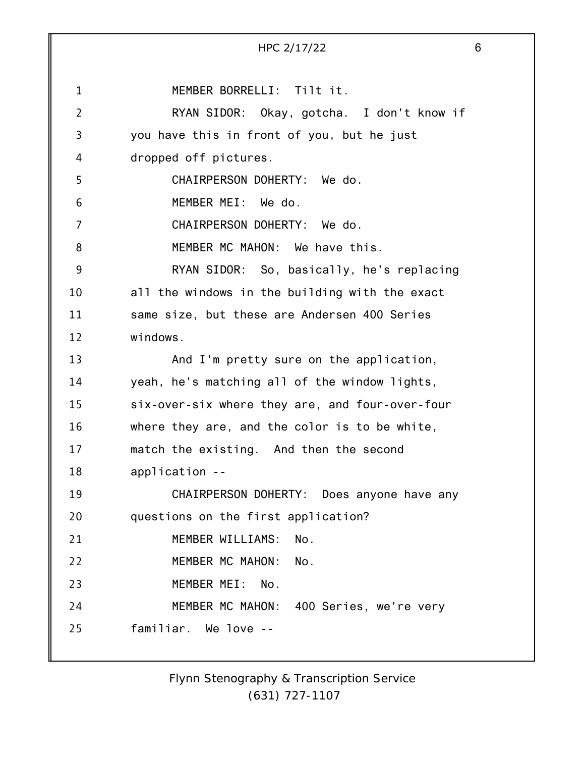|                | HPC 2/17/22                                     | 6 |
|----------------|-------------------------------------------------|---|
|                |                                                 |   |
| $\mathbf 1$    | MEMBER BORRELLI: Tilt it.                       |   |
| $\overline{2}$ | RYAN SIDOR: Okay, gotcha. I don't know if       |   |
| 3              | you have this in front of you, but he just      |   |
| 4              | dropped off pictures.                           |   |
| 5              | CHAIRPERSON DOHERTY: We do.                     |   |
| 6              | MEMBER MEI: We do.                              |   |
| 7              | CHAIRPERSON DOHERTY: We do.                     |   |
| 8              | MEMBER MC MAHON: We have this.                  |   |
| 9              | RYAN SIDOR: So, basically, he's replacing       |   |
| 10             | all the windows in the building with the exact  |   |
| 11             | same size, but these are Andersen 400 Series    |   |
| 12             | windows.                                        |   |
| 13             | And I'm pretty sure on the application,         |   |
| 14             | yeah, he's matching all of the window lights,   |   |
| 15             | six-over-six where they are, and four-over-four |   |
| 16             | where they are, and the color is to be white,   |   |
| 17             | match the existing. And then the second         |   |
| 18             | application --                                  |   |
| 19             | CHAIRPERSON DOHERTY: Does anyone have any       |   |
| 20             | questions on the first application?             |   |
| 21             | MEMBER WILLIAMS:<br>No.                         |   |
| 22             | MEMBER MC MAHON:<br>No.                         |   |
| 23             | MEMBER MEI:<br>No.                              |   |
| 24             | MEMBER MC MAHON: 400 Series, we're very         |   |
| 25             | familiar. We love --                            |   |
|                |                                                 |   |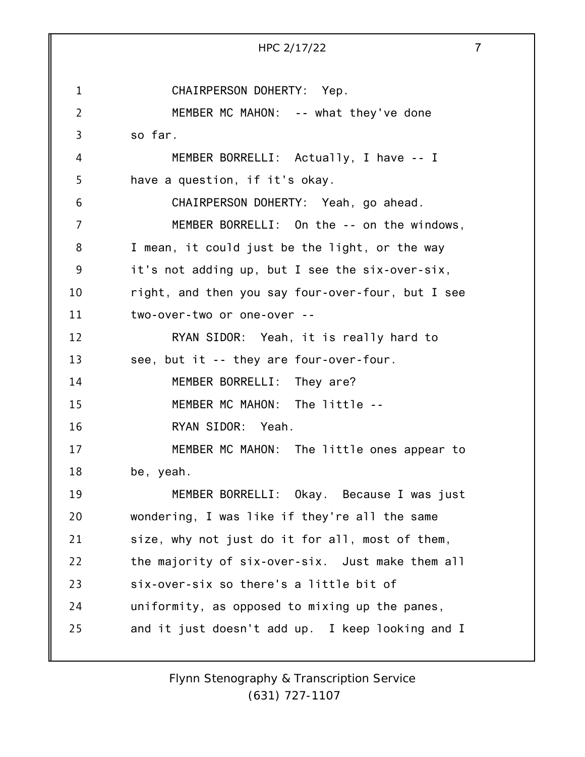1 2 3 4 5 6 7 8 9 10 11 12 13 14 15 16 17 18 19 20 21 22 23 24 25 HPC 2/17/22 7 CHAIRPERSON DOHERTY: Yep. MEMBER MC MAHON: -- what they've done so far. MEMBER BORRELLI: Actually, I have -- I have a question, if it's okay. CHAIRPERSON DOHERTY: Yeah, go ahead. MEMBER BORRELLI: On the -- on the windows, I mean, it could just be the light, or the way it's not adding up, but I see the six-over-six, right, and then you say four-over-four, but I see two-over-two or one-over -- RYAN SIDOR: Yeah, it is really hard to see, but it -- they are four-over-four. MEMBER BORRELLI: They are? MEMBER MC MAHON: The little -- RYAN SIDOR: Yeah. MEMBER MC MAHON: The little ones appear to be, yeah. MEMBER BORRELLI: Okay. Because I was just wondering, I was like if they're all the same size, why not just do it for all, most of them, the majority of six-over-six. Just make them all six-over-six so there's a little bit of uniformity, as opposed to mixing up the panes, and it just doesn't add up. I keep looking and I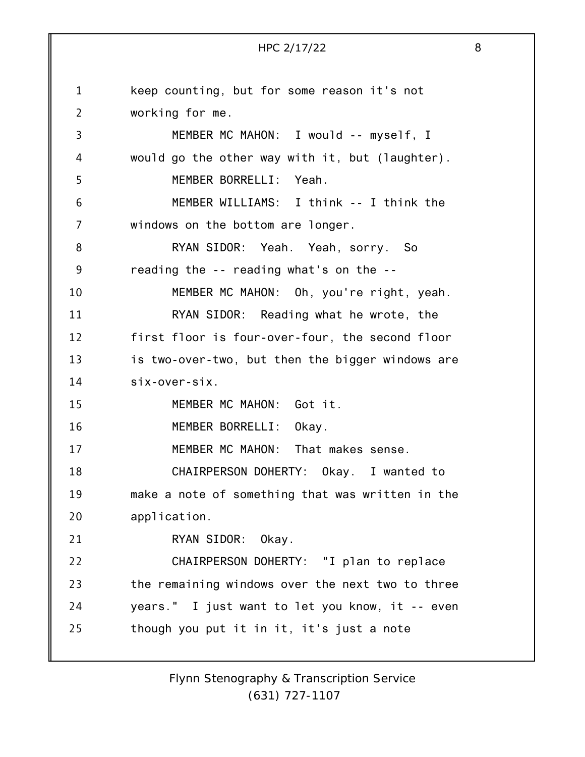1 2 3 4 5 6 7 8 9 10 11 12 13 14 15 16 17 18 19 20 21 22 23 24 25 HPC 2/17/22 8 keep counting, but for some reason it's not working for me. MEMBER MC MAHON: I would -- myself, I would go the other way with it, but (laughter). MEMBER BORRELLI: Yeah. MEMBER WILLIAMS: I think -- I think the windows on the bottom are longer. RYAN SIDOR: Yeah. Yeah, sorry. So reading the -- reading what's on the -- MEMBER MC MAHON: Oh, you're right, yeah. RYAN SIDOR: Reading what he wrote, the first floor is four-over-four, the second floor is two-over-two, but then the bigger windows are six-over-six. MEMBER MC MAHON: Got it. MEMBER BORRELLI: Okay. MEMBER MC MAHON: That makes sense. CHAIRPERSON DOHERTY: Okay. I wanted to make a note of something that was written in the application. RYAN SIDOR: Okay. CHAIRPERSON DOHERTY: "I plan to replace the remaining windows over the next two to three years." I just want to let you know, it -- even though you put it in it, it's just a note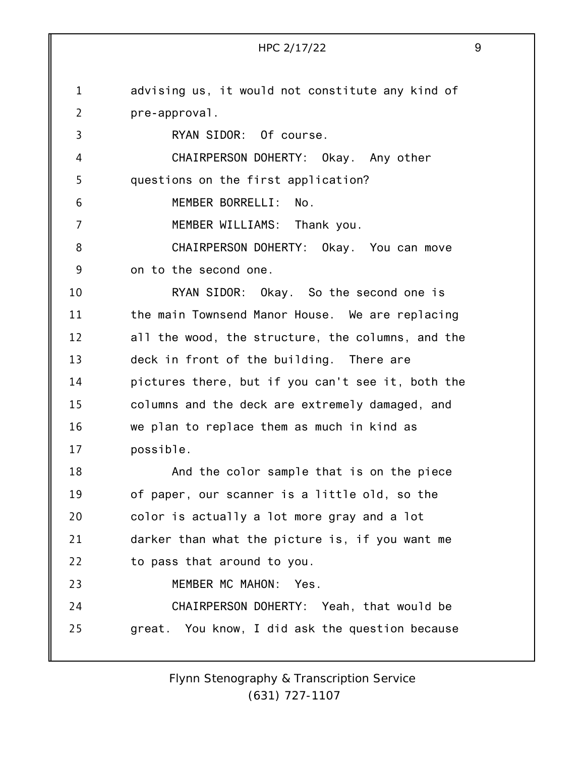| $\mathbf 1$    | advising us, it would not constitute any kind of  |
|----------------|---------------------------------------------------|
| $\overline{2}$ | pre-approval.                                     |
| 3              | RYAN SIDOR: Of course.                            |
| 4              | CHAIRPERSON DOHERTY: Okay. Any other              |
| 5              | questions on the first application?               |
| 6              | MEMBER BORRELLI:<br>No.                           |
| $\overline{7}$ | MEMBER WILLIAMS: Thank you.                       |
| 8              | CHAIRPERSON DOHERTY: Okay. You can move           |
| 9              | on to the second one.                             |
| 10             | RYAN SIDOR: Okay. So the second one is            |
| 11             | the main Townsend Manor House. We are replacing   |
| 12             | all the wood, the structure, the columns, and the |
| 13             | deck in front of the building. There are          |
| 14             | pictures there, but if you can't see it, both the |
| 15             | columns and the deck are extremely damaged, and   |
| 16             | we plan to replace them as much in kind as        |
| 17             | possible.                                         |
| 18             | And the color sample that is on the piece         |
| 19             | of paper, our scanner is a little old, so the     |
| 20             | color is actually a lot more gray and a lot       |
| 21             | darker than what the picture is, if you want me   |
| 22             | to pass that around to you.                       |
| 23             | MEMBER MC MAHON:<br>Yes.                          |
| 24             | CHAIRPERSON DOHERTY: Yeah, that would be          |
| 25             | great. You know, I did ask the question because   |
|                |                                                   |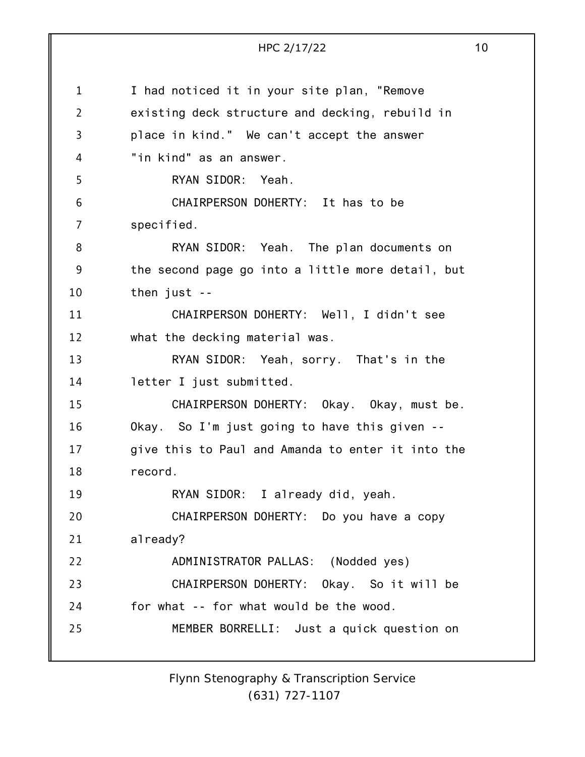1 2 3 4 5 6 7 8 9 10 11 12 13 14 15 16 17 18 19 20 21 22 23 24 25 HPC 2/17/22 10 I had noticed it in your site plan, "Remove existing deck structure and decking, rebuild in place in kind." We can't accept the answer "in kind" as an answer. RYAN SIDOR: Yeah. CHAIRPERSON DOHERTY: It has to be specified. RYAN SIDOR: Yeah. The plan documents on the second page go into a little more detail, but then just -- CHAIRPERSON DOHERTY: Well, I didn't see what the decking material was. RYAN SIDOR: Yeah, sorry. That's in the letter I just submitted. CHAIRPERSON DOHERTY: Okay. Okay, must be. Okay. So I'm just going to have this given - give this to Paul and Amanda to enter it into the record. RYAN SIDOR: I already did, yeah. CHAIRPERSON DOHERTY: Do you have a copy already? ADMINISTRATOR PALLAS: (Nodded yes) CHAIRPERSON DOHERTY: Okay. So it will be for what -- for what would be the wood. MEMBER BORRELLI: Just a quick question on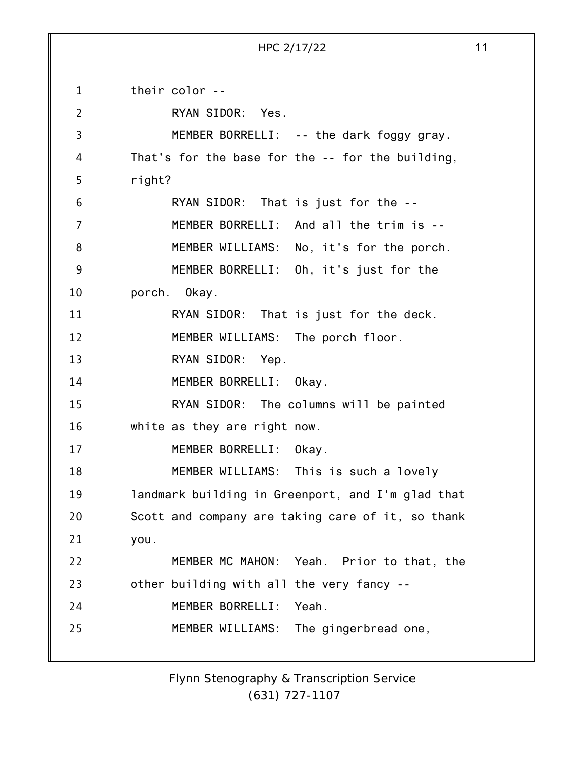1 2 3 4 5 6 7 8 9 10 11 12 13 14 15 16 17 18 19 20 21 22 23 24 25 their color -- RYAN SIDOR: Yes. MEMBER BORRELLI: -- the dark foggy gray. That's for the base for the -- for the building, right? RYAN SIDOR: That is just for the -- MEMBER BORRELLI: And all the trim is -- MEMBER WILLIAMS: No, it's for the porch. MEMBER BORRELLI: Oh, it's just for the porch. Okay. RYAN SIDOR: That is just for the deck. MEMBER WILLIAMS: The porch floor. RYAN SIDOR: Yep. MEMBER BORRELLI: Okay. RYAN SIDOR: The columns will be painted white as they are right now. MEMBER BORRELLI: Okay. MEMBER WILLIAMS: This is such a lovely landmark building in Greenport, and I'm glad that Scott and company are taking care of it, so thank you. MEMBER MC MAHON: Yeah. Prior to that, the other building with all the very fancy -- MEMBER BORRELLI: Yeah. MEMBER WILLIAMS: The gingerbread one,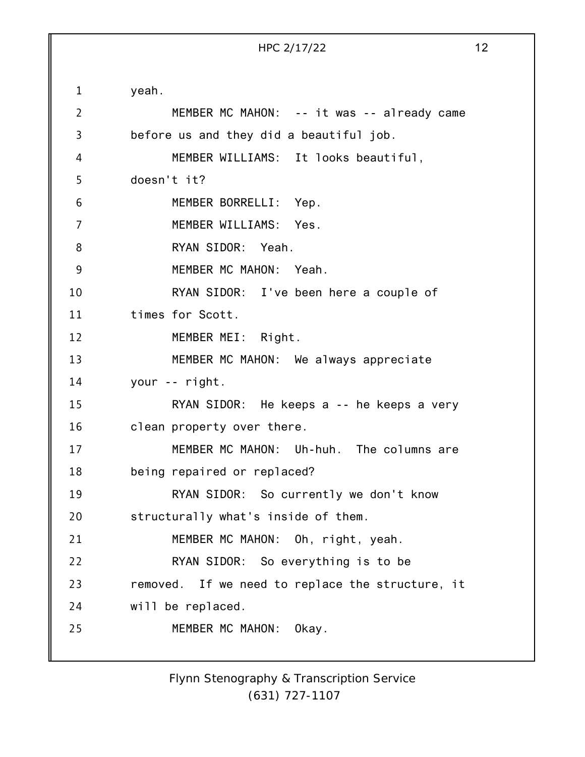1 2 3 4 5 6 7 8 9 10 11 12 13 14 15 16 17 18 19 20 21 22 23 24 25 yeah. MEMBER MC MAHON: -- it was -- already came before us and they did a beautiful job. MEMBER WILLIAMS: It looks beautiful, doesn't it? MEMBER BORRELLI: Yep. MEMBER WILLIAMS: Yes. RYAN SIDOR: Yeah. MEMBER MC MAHON: Yeah. RYAN SIDOR: I've been here a couple of times for Scott. MEMBER MEI: Right. MEMBER MC MAHON: We always appreciate your -- right. RYAN SIDOR: He keeps a -- he keeps a very clean property over there. MEMBER MC MAHON: Uh-huh. The columns are being repaired or replaced? RYAN SIDOR: So currently we don't know structurally what's inside of them. MEMBER MC MAHON: Oh, right, yeah. RYAN SIDOR: So everything is to be removed. If we need to replace the structure, it will be replaced. MEMBER MC MAHON: Okay.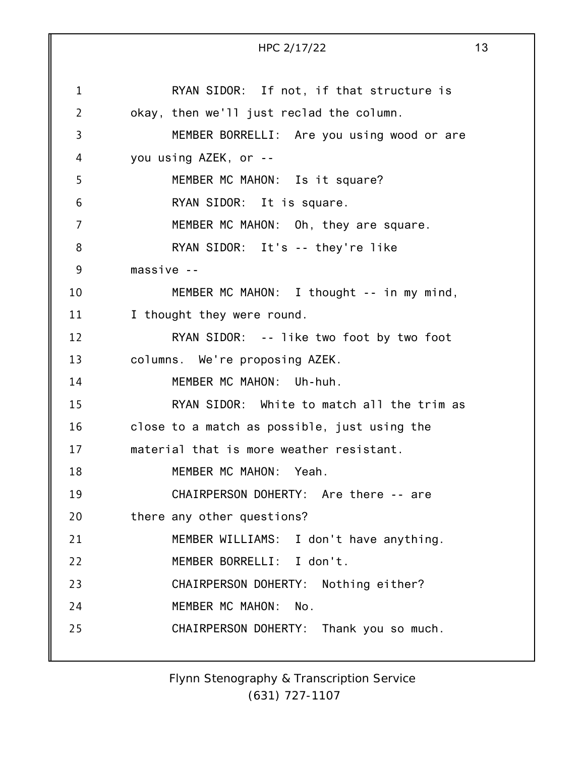1 2 3 4 5 6 7 8 9 10 11 12 13 14 15 16 17 18 19 20 21 22 23 24 25 HPC 2/17/22 13 RYAN SIDOR: If not, if that structure is okay, then we'll just reclad the column. MEMBER BORRELLI: Are you using wood or are you using AZEK, or -- MEMBER MC MAHON: Is it square? RYAN SIDOR: It is square. MEMBER MC MAHON: Oh, they are square. RYAN SIDOR: It's -- they're like massive -- MEMBER MC MAHON: I thought -- in my mind, I thought they were round. RYAN SIDOR: -- like two foot by two foot columns. We're proposing AZEK. MEMBER MC MAHON: Uh-huh. RYAN SIDOR: White to match all the trim as close to a match as possible, just using the material that is more weather resistant. MEMBER MC MAHON: Yeah. CHAIRPERSON DOHERTY: Are there -- are there any other questions? MEMBER WILLIAMS: I don't have anything. MEMBER BORRELLI: I don't. CHAIRPERSON DOHERTY: Nothing either? MEMBER MC MAHON: No. CHAIRPERSON DOHERTY: Thank you so much.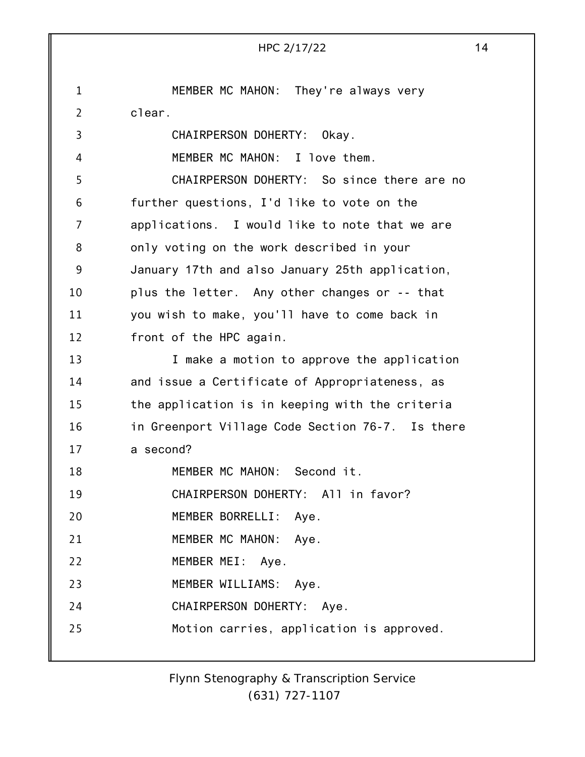|                | HPC 2/17/22                                      | 14 |
|----------------|--------------------------------------------------|----|
|                |                                                  |    |
| $\mathbf{1}$   | MEMBER MC MAHON: They're always very             |    |
| $\overline{2}$ | clear.                                           |    |
| 3              | CHAIRPERSON DOHERTY:<br>Okav.                    |    |
| 4              | MEMBER MC MAHON: I love them.                    |    |
| 5              | CHAIRPERSON DOHERTY: So since there are no       |    |
| 6              | further questions, I'd like to vote on the       |    |
| 7              | applications. I would like to note that we are   |    |
| 8              | only voting on the work described in your        |    |
| 9              | January 17th and also January 25th application,  |    |
| 10             | plus the letter. Any other changes or -- that    |    |
| 11             | you wish to make, you'll have to come back in    |    |
| 12             | front of the HPC again.                          |    |
| 13             | I make a motion to approve the application       |    |
| 14             | and issue a Certificate of Appropriateness, as   |    |
| 15             | the application is in keeping with the criteria  |    |
| 16             | in Greenport Village Code Section 76-7. Is there |    |
| 17             | a second?                                        |    |
| 18             | MEMBER MC MAHON: Second it.                      |    |
| 19             | CHAIRPERSON DOHERTY: All in favor?               |    |
| 20             | MEMBER BORRELLI: Aye.                            |    |
| 21             | MEMBER MC MAHON: Aye.                            |    |
| 22             | MEMBER MEI: Aye.                                 |    |
| 23             | MEMBER WILLIAMS: Aye.                            |    |
| 24             | CHAIRPERSON DOHERTY: Aye.                        |    |
| 25             | Motion carries, application is approved.         |    |
|                |                                                  |    |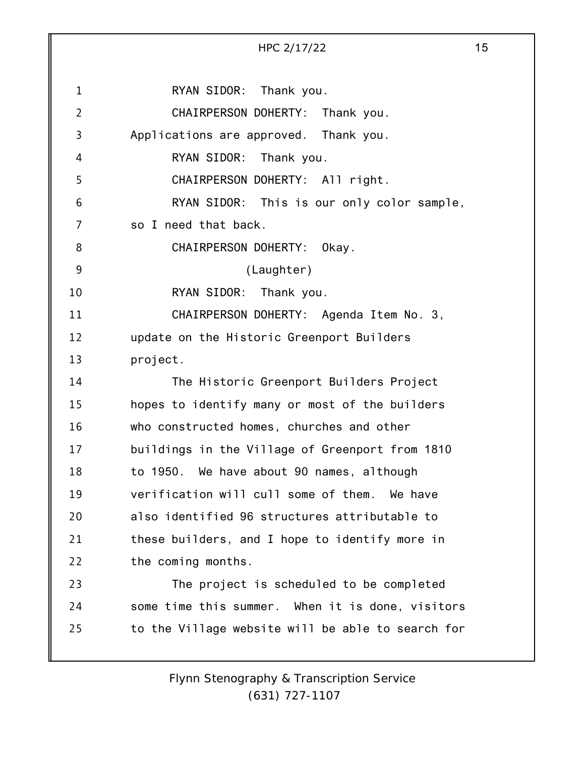|                | HPC 2/17/22                                       | 15 |
|----------------|---------------------------------------------------|----|
| $\mathbf{1}$   | RYAN SIDOR: Thank you.                            |    |
| $\overline{2}$ | CHAIRPERSON DOHERTY:<br>Thank you.                |    |
| 3              | Applications are approved. Thank you.             |    |
| 4              | RYAN SIDOR:<br>Thank you.                         |    |
| 5              | CHAIRPERSON DOHERTY: All right.                   |    |
| 6              | RYAN SIDOR: This is our only color sample,        |    |
| 7              | so I need that back.                              |    |
| 8              | CHAIRPERSON DOHERTY:<br>Okay.                     |    |
| 9              | (Laughter)                                        |    |
| 10             | RYAN SIDOR: Thank you.                            |    |
| 11             | CHAIRPERSON DOHERTY: Agenda Item No. 3,           |    |
| 12             | update on the Historic Greenport Builders         |    |
| 13             | project.                                          |    |
| 14             | The Historic Greenport Builders Project           |    |
| 15             | hopes to identify many or most of the builders    |    |
| 16             | who constructed homes, churches and other         |    |
| 17             | buildings in the Village of Greenport from 1810   |    |
| 18             | to 1950. We have about 90 names, although         |    |
| 19             | verification will cull some of them. We have      |    |
| 20             | also identified 96 structures attributable to     |    |
| 21             | these builders, and I hope to identify more in    |    |
| 22             | the coming months.                                |    |
| 23             | The project is scheduled to be completed          |    |
| 24             | some time this summer. When it is done, visitors  |    |
| 25             | to the Village website will be able to search for |    |
|                |                                                   |    |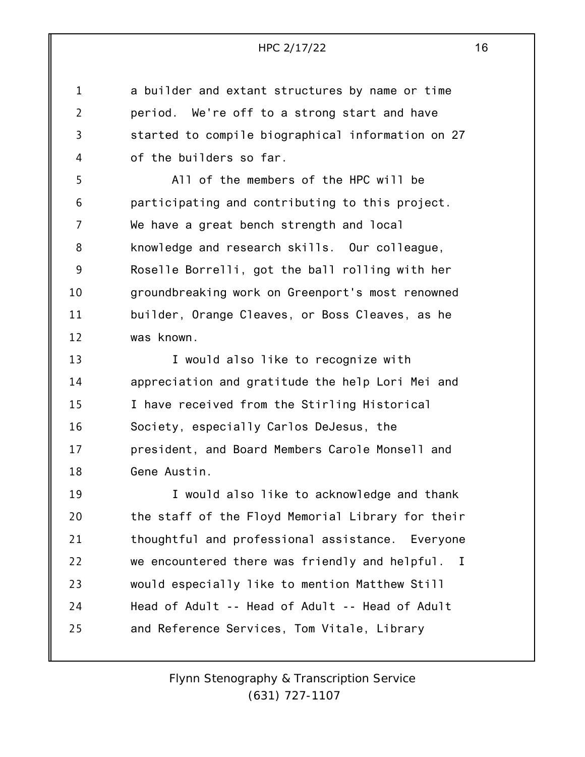1 2 3 4 a builder and extant structures by name or time period. We're off to a strong start and have started to compile biographical information on 27 of the builders so far.

5 6 7 8 9 10 11 12 All of the members of the HPC will be participating and contributing to this project. We have a great bench strength and local knowledge and research skills. Our colleague, Roselle Borrelli, got the ball rolling with her groundbreaking work on Greenport's most renowned builder, Orange Cleaves, or Boss Cleaves, as he was known.

13 14 15 16 17 18 I would also like to recognize with appreciation and gratitude the help Lori Mei and I have received from the Stirling Historical Society, especially Carlos DeJesus, the president, and Board Members Carole Monsell and Gene Austin.

19 20 21 22 23 24 25 I would also like to acknowledge and thank the staff of the Floyd Memorial Library for their thoughtful and professional assistance. Everyone we encountered there was friendly and helpful. I would especially like to mention Matthew Still Head of Adult -- Head of Adult -- Head of Adult and Reference Services, Tom Vitale, Library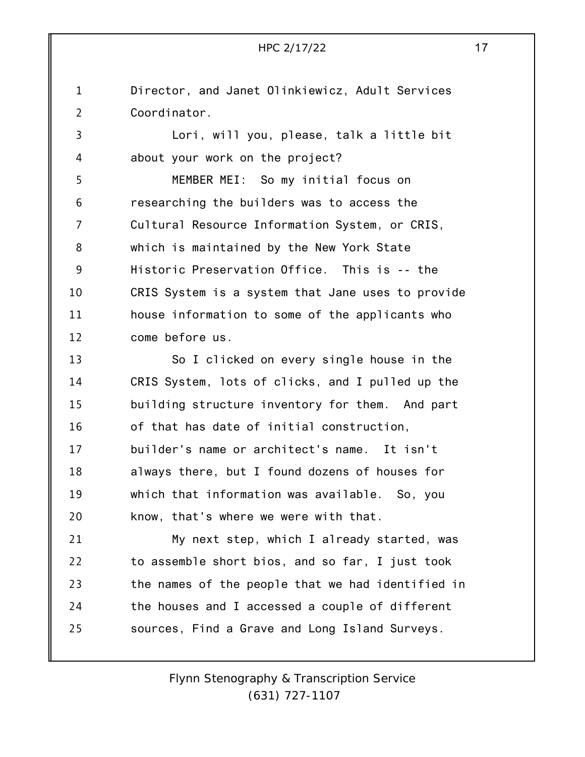1 2 Director, and Janet Olinkiewicz, Adult Services Coordinator.

3 4 Lori, will you, please, talk a little bit about your work on the project?

5 6 7 8 9 10 11 12 MEMBER MEI: So my initial focus on researching the builders was to access the Cultural Resource Information System, or CRIS, which is maintained by the New York State Historic Preservation Office. This is -- the CRIS System is a system that Jane uses to provide house information to some of the applicants who come before us.

13 14 15 16 17 18 19 20 So I clicked on every single house in the CRIS System, lots of clicks, and I pulled up the building structure inventory for them. And part of that has date of initial construction, builder's name or architect's name. It isn't always there, but I found dozens of houses for which that information was available. So, you know, that's where we were with that.

21 22 23 24 25 My next step, which I already started, was to assemble short bios, and so far, I just took the names of the people that we had identified in the houses and I accessed a couple of different sources, Find a Grave and Long Island Surveys.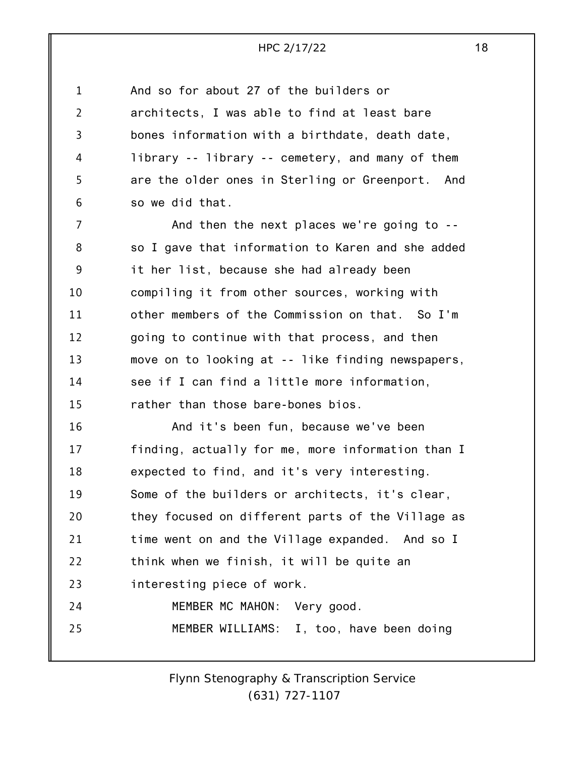| 1              | And so for about 27 of the builders or            |
|----------------|---------------------------------------------------|
| $\overline{2}$ | architects, I was able to find at least bare      |
| 3              | bones information with a birthdate, death date,   |
| 4              | library -- library -- cemetery, and many of them  |
| 5              | are the older ones in Sterling or Greenport. And  |
| 6              | so we did that.                                   |
| 7              | And then the next places we're going to --        |
| 8              | so I gave that information to Karen and she added |
| 9              | it her list, because she had already been         |
| 10             | compiling it from other sources, working with     |
| 11             | other members of the Commission on that. So I'm   |
| 12             | going to continue with that process, and then     |
| 13             | move on to looking at -- like finding newspapers, |
| 14             | see if I can find a little more information,      |
| 15             | rather than those bare-bones bios.                |
| 16             | And it's been fun, because we've been             |
| 17             | finding, actually for me, more information than I |
| 18             | expected to find, and it's very interesting.      |
| 19             | Some of the builders or architects, it's clear,   |
| 20             | they focused on different parts of the Village as |
| 21             | time went on and the Village expanded. And so I   |
| 22             | think when we finish, it will be quite an         |
| 23             | interesting piece of work.                        |
| 24             | MEMBER MC MAHON: Very good.                       |
| 25             | MEMBER WILLIAMS: I, too, have been doing          |
|                |                                                   |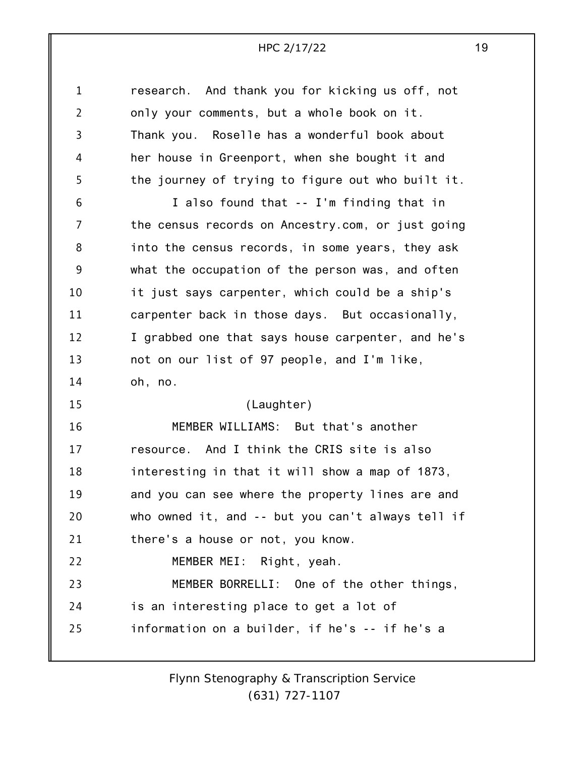| $\mathbf{1}$   | research. And thank you for kicking us off, not   |
|----------------|---------------------------------------------------|
| $\overline{2}$ | only your comments, but a whole book on it.       |
| 3              | Thank you. Roselle has a wonderful book about     |
| 4              | her house in Greenport, when she bought it and    |
| 5              | the journey of trying to figure out who built it. |
| 6              | I also found that -- I'm finding that in          |
| 7              | the census records on Ancestry.com, or just going |
| 8              | into the census records, in some years, they ask  |
| 9              | what the occupation of the person was, and often  |
| 10             | it just says carpenter, which could be a ship's   |
| 11             | carpenter back in those days. But occasionally,   |
| 12             | I grabbed one that says house carpenter, and he's |
| 13             | not on our list of 97 people, and I'm like,       |
| 14             | oh, no.                                           |
| 15             | (Laughter)                                        |
| 16             | MEMBER WILLIAMS: But that's another               |
| 17             | resource. And I think the CRIS site is also       |
| 18             | interesting in that it will show a map of 1873,   |
| 19             | and you can see where the property lines are and  |
| 20             | who owned it, and -- but you can't always tell if |
| 21             | there's a house or not, you know.                 |
| 22             | MEMBER MEI: Right, yeah.                          |
| 23             | MEMBER BORRELLI: One of the other things,         |
| 24             | is an interesting place to get a lot of           |
| 25             | information on a builder, if he's -- if he's a    |
|                |                                                   |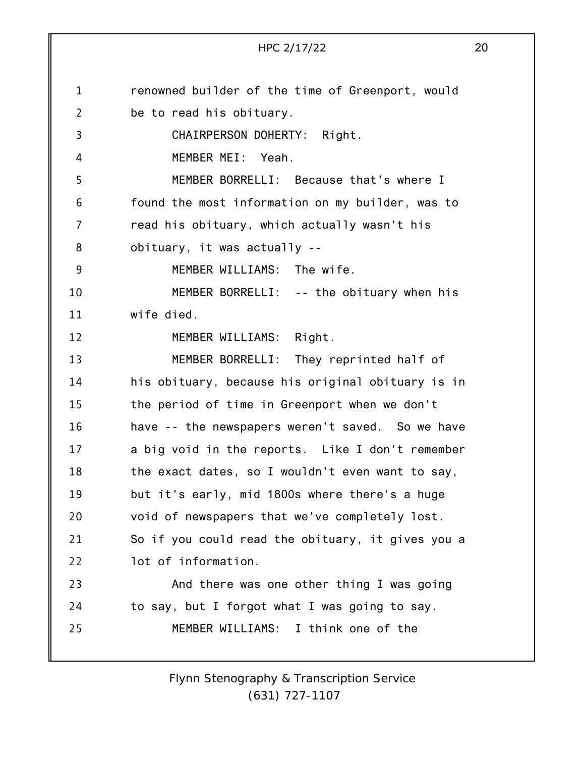1 2 3 4 5 6 7 8 9 10 11 12 13 14 15 16 17 18 19 20 21 22 23 24 25 renowned builder of the time of Greenport, would be to read his obituary. CHAIRPERSON DOHERTY: Right. MEMBER MEI: Yeah. MEMBER BORRELLI: Because that's where I found the most information on my builder, was to read his obituary, which actually wasn't his obituary, it was actually -- MEMBER WILLIAMS: The wife. MEMBER BORRELLI: -- the obituary when his wife died. MEMBER WILLIAMS: Right. MEMBER BORRELLI: They reprinted half of his obituary, because his original obituary is in the period of time in Greenport when we don't have -- the newspapers weren't saved. So we have a big void in the reports. Like I don't remember the exact dates, so I wouldn't even want to say, but it's early, mid 1800s where there's a huge void of newspapers that we've completely lost. So if you could read the obituary, it gives you a lot of information. And there was one other thing I was going to say, but I forgot what I was going to say. MEMBER WILLIAMS: I think one of the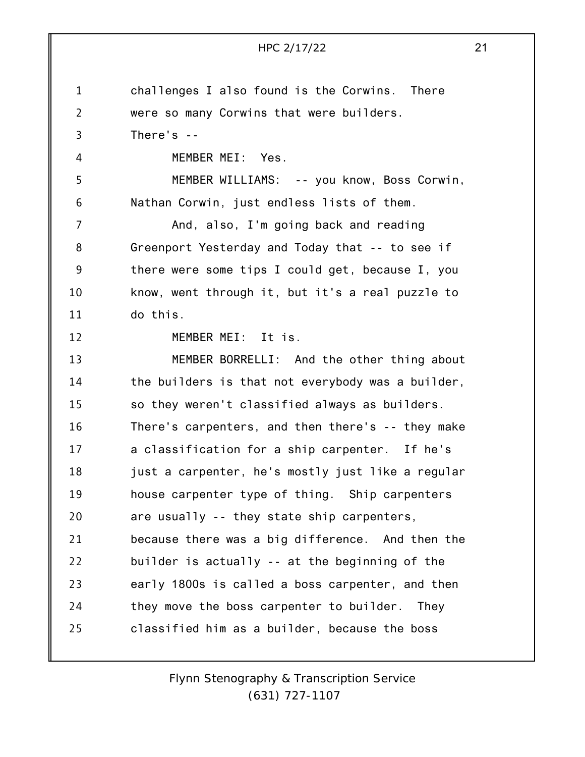|                | HPC 2/17/22                                       | 21 |
|----------------|---------------------------------------------------|----|
|                |                                                   |    |
| 1              | challenges I also found is the Corwins. There     |    |
| $\overline{2}$ | were so many Corwins that were builders.          |    |
| 3              | There's $-$                                       |    |
| 4              | MEMBER MEI: Yes.                                  |    |
| 5              | MEMBER WILLIAMS: -- you know, Boss Corwin,        |    |
| 6              | Nathan Corwin, just endless lists of them.        |    |
| $\overline{7}$ | And, also, I'm going back and reading             |    |
| 8              | Greenport Yesterday and Today that -- to see if   |    |
| 9              | there were some tips I could get, because I, you  |    |
| 10             | know, went through it, but it's a real puzzle to  |    |
| 11             | do this.                                          |    |
| 12             | MEMBER MEI: It is.                                |    |
| 13             | MEMBER BORRELLI: And the other thing about        |    |
| 14             | the builders is that not everybody was a builder, |    |
| 15             | so they weren't classified always as builders.    |    |
| 16             | There's carpenters, and then there's -- they make |    |
| 17             | a classification for a ship carpenter. If he's    |    |
| 18             | just a carpenter, he's mostly just like a regular |    |
| 19             | house carpenter type of thing. Ship carpenters    |    |
| 20             | are usually -- they state ship carpenters,        |    |
| 21             | because there was a big difference. And then the  |    |
| 22             | builder is actually -- at the beginning of the    |    |
| 23             | early 1800s is called a boss carpenter, and then  |    |
| 24             | they move the boss carpenter to builder. They     |    |
| 25             | classified him as a builder, because the boss     |    |
|                |                                                   |    |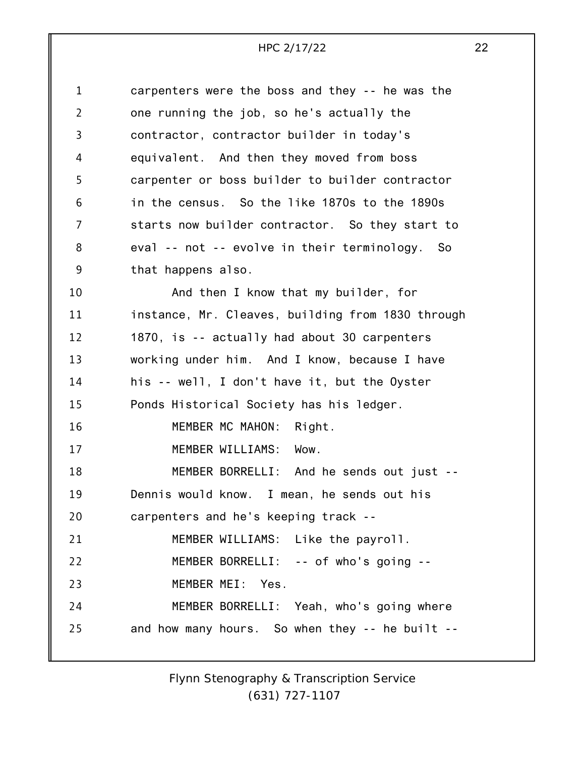| $\mathbf 1$    | carpenters were the boss and they -- he was the   |
|----------------|---------------------------------------------------|
| $\overline{2}$ | one running the job, so he's actually the         |
| 3              | contractor, contractor builder in today's         |
| 4              | equivalent. And then they moved from boss         |
| 5              | carpenter or boss builder to builder contractor   |
| 6              | in the census. So the like 1870s to the 1890s     |
| $\overline{7}$ | starts now builder contractor. So they start to   |
| 8              | eval -- not -- evolve in their terminology. So    |
| 9              | that happens also.                                |
| 10             | And then I know that my builder, for              |
| 11             | instance, Mr. Cleaves, building from 1830 through |
| 12             | 1870, is -- actually had about 30 carpenters      |
| 13             | working under him. And I know, because I have     |
| 14             | his -- well, I don't have it, but the Oyster      |
| 15             | Ponds Historical Society has his ledger.          |
| 16             | MEMBER MC MAHON: Right.                           |
| 17             | MEMBER WILLIAMS: Wow.                             |
| 18             | MEMBER BORRELLI: And he sends out just --         |
| 19             | Dennis would know. I mean, he sends out his       |
| 20             | carpenters and he's keeping track --              |
| 21             | MEMBER WILLIAMS: Like the payroll.                |
| 22             | MEMBER BORRELLI: -- of who's going --             |
| 23             | MEMBER MEI: Yes.                                  |
| 24             | MEMBER BORRELLI: Yeah, who's going where          |
| 25             | and how many hours. So when they -- he built --   |
|                |                                                   |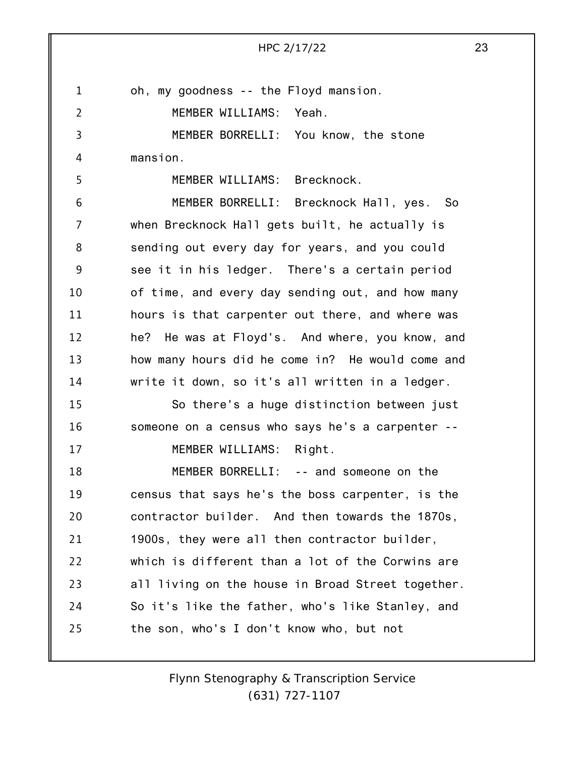1 2 3 4 5 6 7 8 9 10 11 12 13 14 15 16 17 18 19 20 21 22 23 24 25 HPC 2/17/22 23 oh, my goodness -- the Floyd mansion. MEMBER WILLIAMS: Yeah. MEMBER BORRELLI: You know, the stone mansion. MEMBER WILLIAMS: Brecknock. MEMBER BORRELLI: Brecknock Hall, yes. So when Brecknock Hall gets built, he actually is sending out every day for years, and you could see it in his ledger. There's a certain period of time, and every day sending out, and how many hours is that carpenter out there, and where was he? He was at Floyd's. And where, you know, and how many hours did he come in? He would come and write it down, so it's all written in a ledger. So there's a huge distinction between just someone on a census who says he's a carpenter -- MEMBER WILLIAMS: Right. MEMBER BORRELLI: -- and someone on the census that says he's the boss carpenter, is the contractor builder. And then towards the 1870s, 1900s, they were all then contractor builder, which is different than a lot of the Corwins are all living on the house in Broad Street together. So it's like the father, who's like Stanley, and the son, who's I don't know who, but not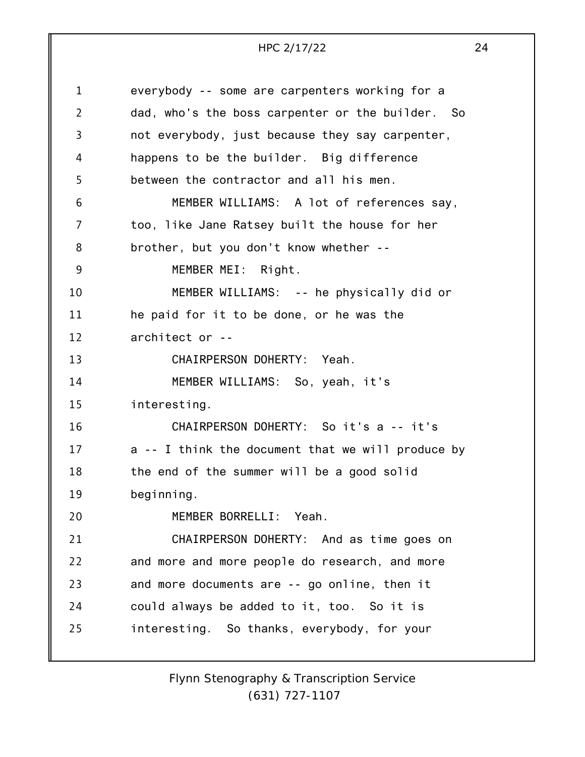1 2 3 4 5 6 7 8 9 10 11 12 13 14 15 16 17 18 19 20 21 22 23 24 25 everybody -- some are carpenters working for a dad, who's the boss carpenter or the builder. So not everybody, just because they say carpenter, happens to be the builder. Big difference between the contractor and all his men. MEMBER WILLIAMS: A lot of references say, too, like Jane Ratsey built the house for her brother, but you don't know whether -- MEMBER MEI: Right. MEMBER WILLIAMS: -- he physically did or he paid for it to be done, or he was the architect or -- CHAIRPERSON DOHERTY: Yeah. MEMBER WILLIAMS: So, yeah, it's interesting. CHAIRPERSON DOHERTY: So it's a -- it's a -- I think the document that we will produce by the end of the summer will be a good solid beginning. MEMBER BORRELLI: Yeah. CHAIRPERSON DOHERTY: And as time goes on and more and more people do research, and more and more documents are -- go online, then it could always be added to it, too. So it is interesting. So thanks, everybody, for your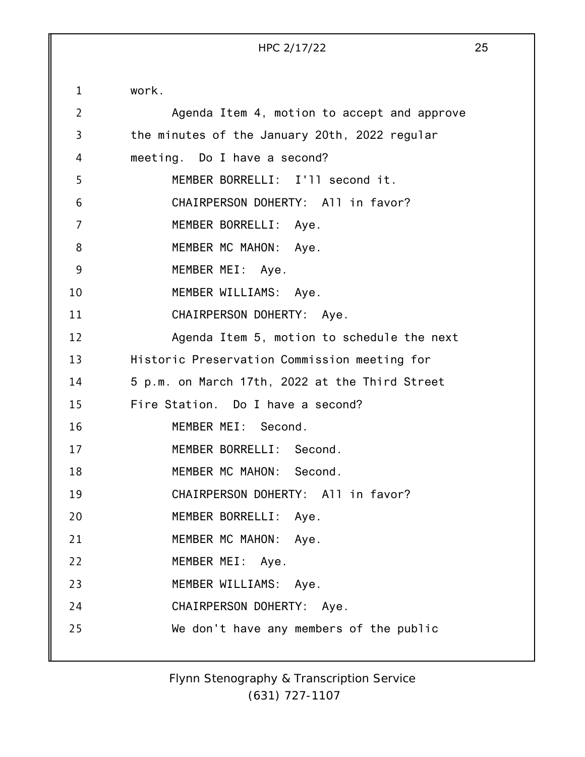1 2 3 4 5 6 7 8 9 10 11 12 13 14 15 16 17 18 19 20 21 22 23 24 25 work. Agenda Item 4, motion to accept and approve the minutes of the January 20th, 2022 regular meeting. Do I have a second? MEMBER BORRELLI: I'll second it. CHAIRPERSON DOHERTY: All in favor? MEMBER BORRELLI: Aye. MEMBER MC MAHON: Aye. MEMBER MEI: Aye. MEMBER WILLIAMS: Aye. CHAIRPERSON DOHERTY: Aye. Agenda Item 5, motion to schedule the next Historic Preservation Commission meeting for 5 p.m. on March 17th, 2022 at the Third Street Fire Station. Do I have a second? MEMBER MEI: Second. MEMBER BORRELLI: Second. MEMBER MC MAHON: Second. CHAIRPERSON DOHERTY: All in favor? MEMBER BORRELLI: Aye. MEMBER MC MAHON: Aye. MEMBER MEI: Aye. MEMBER WILLIAMS: Aye. CHAIRPERSON DOHERTY: Aye. We don't have any members of the public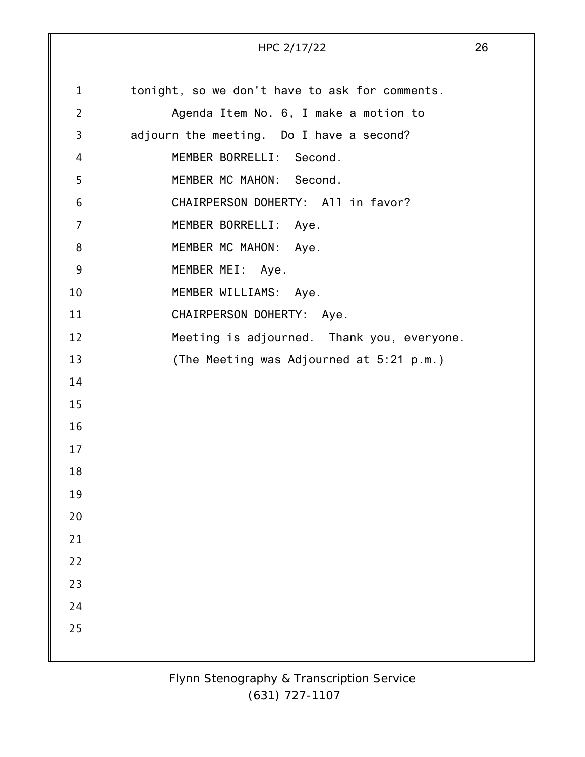|                | HPC 2/17/22                                    | 26 |
|----------------|------------------------------------------------|----|
| $\mathbf 1$    | tonight, so we don't have to ask for comments. |    |
| $\overline{2}$ | Agenda Item No. 6, I make a motion to          |    |
| 3              | adjourn the meeting. Do I have a second?       |    |
| 4              | MEMBER BORRELLI: Second.                       |    |
| 5              | MEMBER MC MAHON: Second.                       |    |
| 6              | CHAIRPERSON DOHERTY: All in favor?             |    |
| $\overline{7}$ | MEMBER BORRELLI: Aye.                          |    |
| 8              | MEMBER MC MAHON: Aye.                          |    |
| 9              | MEMBER MEI: Aye.                               |    |
| 10             | MEMBER WILLIAMS: Aye.                          |    |
| 11             | CHAIRPERSON DOHERTY: Aye.                      |    |
| 12             | Meeting is adjourned. Thank you, everyone.     |    |
| 13             | (The Meeting was Adjourned at 5:21 p.m.)       |    |
| 14             |                                                |    |
| 15             |                                                |    |
| 16             |                                                |    |
| 17             |                                                |    |
| 18             |                                                |    |
| 19             |                                                |    |
| 20             |                                                |    |
| 21             |                                                |    |
| 22             |                                                |    |
| 23             |                                                |    |
| 24             |                                                |    |
| 25             |                                                |    |
|                |                                                |    |